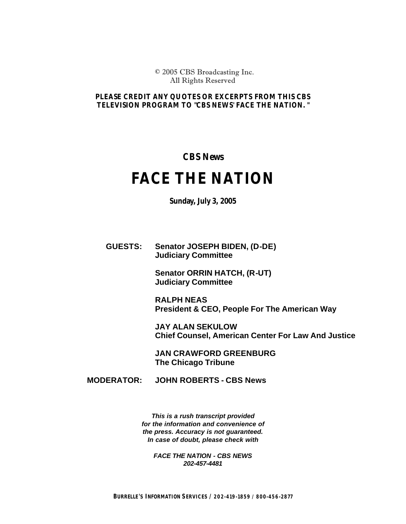© 2005 CBS Broadcasting Inc. All Rights Reserved

## *PLEASE CREDIT ANY QUOTES OR EXCERPTS FROM THIS CBS TELEVISION PROGRAM TO "CBS NEWS' FACE THE NATION. "*

**CBS News** 

## **FACE THE NATION**

**Sunday, July 3, 2005**

**GUESTS: Senator JOSEPH BIDEN, (D-DE) Judiciary Committee** 

> **Senator ORRIN HATCH, (R-UT) Judiciary Committee**

**RALPH NEAS President & CEO, People For The American Way**

**JAY ALAN SEKULOW Chief Counsel, American Center For Law And Justice**

**JAN CRAWFORD GREENBURG The Chicago Tribune**

**MODERATOR: JOHN ROBERTS - CBS News** 

*This is a rush transcript provided for the information and convenience of the press. Accuracy is not guaranteed. In case of doubt, please check with*

*FACE THE NATION - CBS NEWS 202-457-4481*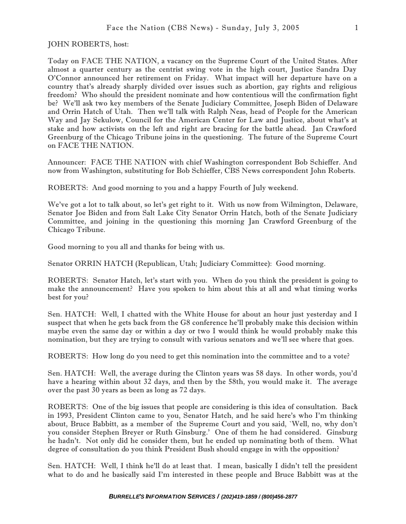JOHN ROBERTS, host:

Today on FACE THE NATION, a vacancy on the Supreme Court of the United States. After almost a quarter century as the centrist swing vote in the high court, Justice Sandra Day O'Connor announced her retirement on Friday. What impact will her departure have on a country that's already sharply divided over issues such as abortion, gay rights and religious freedom? Who should the president nominate and how contentious will the confirmation fight be? We'll ask two key members of the Senate Judiciary Committee, Joseph Biden of Delaware and Orrin Hatch of Utah. Then we'll talk with Ralph Neas, head of People for the American Way and Jay Sekulow, Council for the American Center for Law and Justice, about what's at stake and how activists on the left and right are bracing for the battle ahead. Jan Crawford Greenburg of the Chicago Tribune joins in the questioning. The future of the Supreme Court on FACE THE NATION.

Announcer: FACE THE NATION with chief Washington correspondent Bob Schieffer. And now from Washington, substituting for Bob Schieffer, CBS News correspondent John Roberts.

ROBERTS: And good morning to you and a happy Fourth of July weekend.

We've got a lot to talk about, so let's get right to it. With us now from Wilmington, Delaware, Senator Joe Biden and from Salt Lake City Senator Orrin Hatch, both of the Senate Judiciary Committee, and joining in the questioning this morning Jan Crawford Greenburg of the Chicago Tribune.

Good morning to you all and thanks for being with us.

Senator ORRIN HATCH (Republican, Utah; Judiciary Committee): Good morning.

ROBERTS: Senator Hatch, let's start with you. When do you think the president is going to make the announcement? Have you spoken to him about this at all and what timing works best for you?

Sen. HATCH: Well, I chatted with the White House for about an hour just yesterday and I suspect that when he gets back from the G8 conference he'll probably make this decision within maybe even the same day or within a day or two I would think he would probably make this nomination, but they are trying to consult with various senators and we'll see where that goes.

ROBERTS: How long do you need to get this nomination into the committee and to a vote?

Sen. HATCH: Well, the average during the Clinton years was 58 days. In other words, you'd have a hearing within about 32 days, and then by the 58th, you would make it. The average over the past 30 years as been as long as 72 days.

ROBERTS: One of the big issues that people are considering is this idea of consultation. Back in 1993, President Clinton came to you, Senator Hatch, and he said here's who I'm thinking about, Bruce Babbitt, as a member of the Supreme Court and you said, `Well, no, why don't you consider Stephen Breyer or Ruth Ginsburg.' One of them he had considered. Ginsburg he hadn't. Not only did he consider them, but he ended up nominating both of them. What degree of consultation do you think President Bush should engage in with the opposition?

Sen. HATCH: Well, I think he'll do at least that. I mean, basically I didn't tell the president what to do and he basically said I'm interested in these people and Bruce Babbitt was at the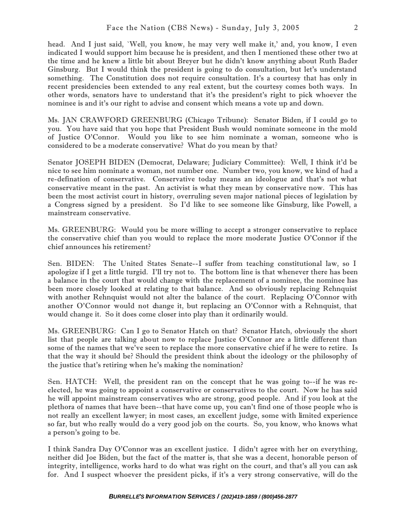head. And I just said, `Well, you know, he may very well make it,' and, you know, I even indicated I would support him because he is president, and then I mentioned these other two at the time and he knew a little bit about Breyer but he didn't know anything about Ruth Bader Ginsburg. But I would think the president is going to do consultation, but let's understand something. The Constitution does not require consultation. It's a courtesy that has only in recent presidencies been extended to any real extent, but the courtesy comes both ways. In other words, senators have to understand that it's the president's right to pick whoever the nominee is and it's our right to advise and consent which means a vote up and down.

Ms. JAN CRAWFORD GREENBURG (Chicago Tribune): Senator Biden, if I could go to you. You have said that you hope that President Bush would nominate someone in the mold of Justice O'Connor. Would you like to see him nominate a woman, someone who is considered to be a moderate conservative? What do you mean by that?

Senator JOSEPH BIDEN (Democrat, Delaware; Judiciary Committee): Well, I think it'd be nice to see him nominate a woman, not number one. Number two, you know, we kind of had a re-defination of conservative. Conservative today means an ideologue and that's not what conservative meant in the past. An activist is what they mean by conservative now. This has been the most activist court in history, overruling seven major national pieces of legislation by a Congress signed by a president. So I'd like to see someone like Ginsburg, like Powell, a mainstream conservative.

Ms. GREENBURG: Would you be more willing to accept a stronger conservative to replace the conservative chief than you would to replace the more moderate Justice O'Connor if the chief announces his retirement?

Sen. BIDEN: The United States Senate--I suffer from teaching constitutional law, so I apologize if I get a little turgid. I'll try not to. The bottom line is that whenever there has been a balance in the court that would change with the replacement of a nominee, the nominee has been more closely looked at relating to that balance. And so obviously replacing Rehnquist with another Rehnquist would not alter the balance of the court. Replacing O'Connor with another O'Connor would not change it, but replacing an O'Connor with a Rehnquist, that would change it. So it does come closer into play than it ordinarily would.

Ms. GREENBURG: Can I go to Senator Hatch on that? Senator Hatch, obviously the short list that people are talking about now to replace Justice O'Connor are a little different than some of the names that we've seen to replace the more conservative chief if he were to retire. Is that the way it should be? Should the president think about the ideology or the philosophy of the justice that's retiring when he's making the nomination?

Sen. HATCH: Well, the president ran on the concept that he was going to--if he was reelected, he was going to appoint a conservative or conservatives to the court. Now he has said he will appoint mainstream conservatives who are strong, good people. And if you look at the plethora of names that have been--that have come up, you can't find one of those people who is not really an excellent lawyer; in most cases, an excellent judge, some with limited experience so far, but who really would do a very good job on the courts. So, you know, who knows what a person's going to be.

I think Sandra Day O'Connor was an excellent justice. I didn't agree with her on everything, neither did Joe Biden, but the fact of the matter is, that she was a decent, honorable person of integrity, intelligence, works hard to do what was right on the court, and that's all you can ask for. And I suspect whoever the president picks, if it's a very strong conservative, will do the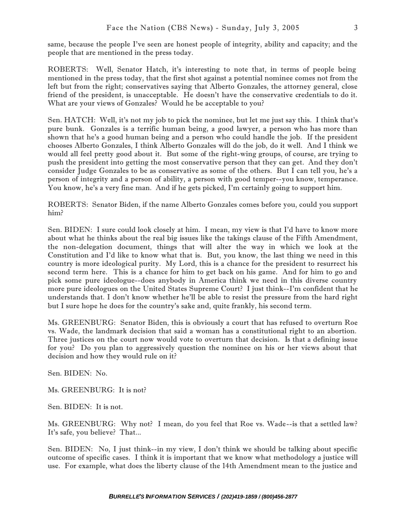same, because the people I've seen are honest people of integrity, ability and capacity; and the people that are mentioned in the press today.

ROBERTS: Well, Senator Hatch, it's interesting to note that, in terms of people being mentioned in the press today, that the first shot against a potential nominee comes not from the left but from the right; conservatives saying that Alberto Gonzales, the attorney general, close friend of the president, is unacceptable. He doesn't have the conservative credentials to do it. What are your views of Gonzales? Would he be acceptable to you?

Sen. HATCH: Well, it's not my job to pick the nominee, but let me just say this. I think that's pure bunk. Gonzales is a terrific human being, a good lawyer, a person who has more than shown that he's a good human being and a person who could handle the job. If the president chooses Alberto Gonzales, I think Alberto Gonzales will do the job, do it well. And I think we would all feel pretty good about it. But some of the right-wing groups, of course, are trying to push the president into getting the most conservative person that they can get. And they don't consider Judge Gonzales to be as conservative as some of the others. But I can tell you, he's a person of integrity and a person of ability, a person with good temper--you know, temperance. You know, he's a very fine man. And if he gets picked, I'm certainly going to support him.

ROBERTS: Senator Biden, if the name Alberto Gonzales comes before you, could you support him?

Sen. BIDEN: I sure could look closely at him. I mean, my view is that I'd have to know more about what he thinks about the real big issues like the takings clause of the Fifth Amendment, the non-delegation document, things that will alter the way in which we look at the Constitution and I'd like to know what that is. But, you know, the last thing we need in this country is more ideological purity. My Lord, this is a chance for the president to resurrect his second term here. This is a chance for him to get back on his game. And for him to go and pick some pure ideologue--does anybody in America think we need in this diverse country more pure ideologues on the United States Supreme Court? I just think--I'm confident that he understands that. I don't know whether he'll be able to resist the pressure from the hard right but I sure hope he does for the country's sake and, quite frankly, his second term.

Ms. GREENBURG: Senator Biden, this is obviously a court that has refused to overturn Roe vs. Wade, the landmark decision that said a woman has a constitutional right to an abortion. Three justices on the court now would vote to overturn that decision. Is that a defining issue for you? Do you plan to aggressively question the nominee on his or her views about that decision and how they would rule on it?

Sen. BIDEN: No.

Ms. GREENBURG: It is not?

Sen. BIDEN: It is not.

Ms. GREENBURG: Why not? I mean, do you feel that Roe vs. Wade--is that a settled law? It's safe, you believe? That...

Sen. BIDEN: No, I just think--in my view, I don't think we should be talking about specific outcome of specific cases. I think it is important that we know what methodology a justice will use. For example, what does the liberty clause of the 14th Amendment mean to the justice and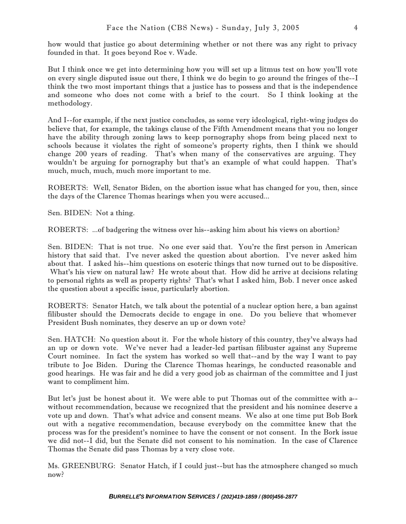But I think once we get into determining how you will set up a litmus test on how you'll vote on every single disputed issue out there, I think we do begin to go around the fringes of the--I think the two most important things that a justice has to possess and that is the independence and someone who does not come with a brief to the court. So I think looking at the methodology.

And I--for example, if the next justice concludes, as some very ideological, right-wing judges do believe that, for example, the takings clause of the Fifth Amendment means that you no longer have the ability through zoning laws to keep pornography shops from being placed next to schools because it violates the right of someone's property rights, then I think we should change 200 years of reading. That's when many of the conservatives are arguing. They wouldn't be arguing for pornography but that's an example of what could happen. That's much, much, much, much more important to me.

ROBERTS: Well, Senator Biden, on the abortion issue what has changed for you, then, since the days of the Clarence Thomas hearings when you were accused...

Sen. BIDEN: Not a thing.

ROBERTS: ...of badgering the witness over his--asking him about his views on abortion?

Sen. BIDEN: That is not true. No one ever said that. You're the first person in American history that said that. I've never asked the question about abortion. I've never asked him about that. I asked his--him questions on esoteric things that now turned out to be dispositive. What's his view on natural law? He wrote about that. How did he arrive at decisions relating to personal rights as well as property rights? That's what I asked him, Bob. I never once asked the question about a specific issue, particularly abortion.

ROBERTS: Senator Hatch, we talk about the potential of a nuclear option here, a ban against filibuster should the Democrats decide to engage in one. Do you believe that whomever President Bush nominates, they deserve an up or down vote?

Sen. HATCH: No question about it. For the whole history of this country, they've always had an up or down vote. We've never had a leader-led partisan filibuster against any Supreme Court nominee. In fact the system has worked so well that--and by the way I want to pay tribute to Joe Biden. During the Clarence Thomas hearings, he conducted reasonable and good hearings. He was fair and he did a very good job as chairman of the committee and I just want to compliment him.

But let's just be honest about it. We were able to put Thomas out of the committee with a- without recommendation, because we recognized that the president and his nominee deserve a vote up and down. That's what advice and consent means. We also at one time put Bob Bork out with a negative recommendation, because everybody on the committee knew that the process was for the president's nominee to have the consent or not consent. In the Bork issue we did not--I did, but the Senate did not consent to his nomination. In the case of Clarence Thomas the Senate did pass Thomas by a very close vote.

Ms. GREENBURG: Senator Hatch, if I could just--but has the atmosphere changed so much now?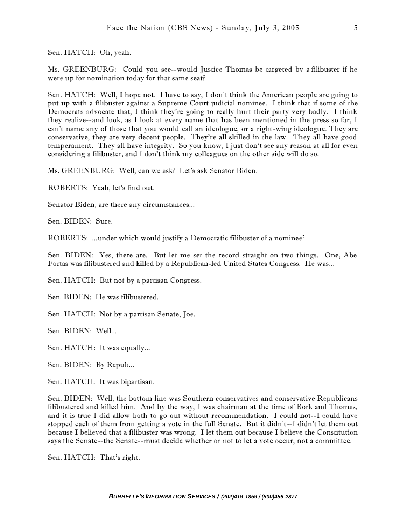Sen. HATCH: Oh, yeah.

Ms. GREENBURG: Could you see--would Justice Thomas be targeted by a filibuster if he were up for nomination today for that same seat?

Sen. HATCH: Well, I hope not. I have to say, I don't think the American people are going to put up with a filibuster against a Supreme Court judicial nominee. I think that if some of the Democrats advocate that, I think they're going to really hurt their party very badly. I think they realize--and look, as I look at every name that has been mentioned in the press so far, I can't name any of those that you would call an ideologue, or a right-wing ideologue. They are conservative, they are very decent people. They're all skilled in the law. They all have good temperament. They all have integrity. So you know, I just don't see any reason at all for even considering a filibuster, and I don't think my colleagues on the other side will do so.

Ms. GREENBURG: Well, can we ask? Let's ask Senator Biden.

ROBERTS: Yeah, let's find out.

Senator Biden, are there any circumstances...

Sen. BIDEN: Sure.

ROBERTS: ...under which would justify a Democratic filibuster of a nominee?

Sen. BIDEN: Yes, there are. But let me set the record straight on two things. One, Abe Fortas was filibustered and killed by a Republican-led United States Congress. He was...

Sen. HATCH: But not by a partisan Congress.

Sen. BIDEN: He was filibustered.

Sen. HATCH: Not by a partisan Senate, Joe.

Sen. BIDEN: Well...

Sen. HATCH: It was equally...

Sen. BIDEN: By Repub...

Sen. HATCH: It was bipartisan.

Sen. BIDEN: Well, the bottom line was Southern conservatives and conservative Republicans filibustered and killed him. And by the way, I was chairman at the time of Bork and Thomas, and it is true I did allow both to go out without recommendation. I could not--I could have stopped each of them from getting a vote in the full Senate. But it didn't--I didn't let them out because I believed that a filibuster was wrong. I let them out because I believe the Constitution says the Senate--the Senate--must decide whether or not to let a vote occur, not a committee.

Sen. HATCH: That's right.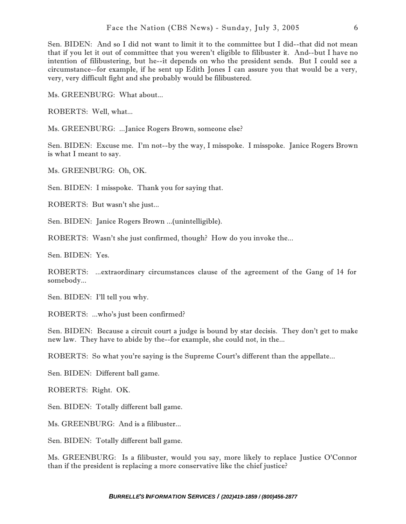Sen. BIDEN: And so I did not want to limit it to the committee but I did--that did not mean that if you let it out of committee that you weren't eligible to filibuster it. And--but I have no intention of filibustering, but he--it depends on who the president sends. But I could see a circumstance--for example, if he sent up Edith Jones I can assure you that would be a very, very, very difficult fight and she probably would be filibustered.

Ms. GREENBURG: What about...

ROBERTS: Well, what...

Ms. GREENBURG: ...Janice Rogers Brown, someone else?

Sen. BIDEN: Excuse me. I'm not--by the way, I misspoke. I misspoke. Janice Rogers Brown is what I meant to say.

Ms. GREENBURG: Oh, OK.

Sen. BIDEN: I misspoke. Thank you for saying that.

ROBERTS: But wasn't she just...

Sen. BIDEN: Janice Rogers Brown ...(unintelligible).

ROBERTS: Wasn't she just confirmed, though? How do you invoke the...

Sen. BIDEN: Yes.

ROBERTS: ...extraordinary circumstances clause of the agreement of the Gang of 14 for somebody...

Sen. BIDEN: I'll tell you why.

ROBERTS: ...who's just been confirmed?

Sen. BIDEN: Because a circuit court a judge is bound by star decisis. They don't get to make new law. They have to abide by the--for example, she could not, in the...

ROBERTS: So what you're saying is the Supreme Court's different than the appellate...

Sen. BIDEN: Different ball game.

ROBERTS: Right. OK.

Sen. BIDEN: Totally different ball game.

Ms. GREENBURG: And is a filibuster...

Sen. BIDEN: Totally different ball game.

Ms. GREENBURG: Is a filibuster, would you say, more likely to replace Justice O'Connor than if the president is replacing a more conservative like the chief justice?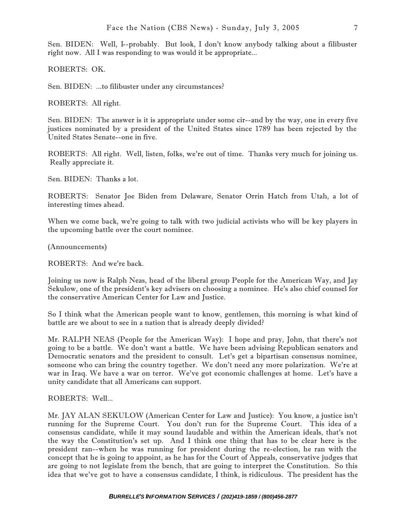Sen. BIDEN: Well, I--probably. But look, I don't know anybody talking about a filibuster right now. All I was responding to was would it be appropriate...

ROBERTS: OK.

Sen. BIDEN: ...to filibuster under any circumstances?

ROBERTS: All right.

Sen. BIDEN: The answer is it is appropriate under some cir--and by the way, one in every five justices nominated by a president of the United States since 1789 has been rejected by the United States Senate--one in five.

ROBERTS: All right. Well, listen, folks, we're out of time. Thanks very much for joining us. Really appreciate it.

Sen. BIDEN: Thanks a lot.

ROBERTS: Senator Joe Biden from Delaware, Senator Orrin Hatch from Utah, a lot of interesting times ahead.

When we come back, we're going to talk with two judicial activists who will be key players in the upcoming battle over the court nominee.

(Announcements)

ROBERTS: And we're back.

Joining us now is Ralph Neas, head of the liberal group People for the American Way, and Jay Sekulow, one of the president's key advisers on choosing a nominee. He's also chief counsel for the conservative American Center for Law and Justice.

So I think what the American people want to know, gentlemen, this morning is what kind of battle are we about to see in a nation that is already deeply divided?

Mr. RALPH NEAS (People for the American Way): I hope and pray, John, that there's not going to be a battle. We don't want a battle. We have been advising Republican senators and Democratic senators and the president to consult. Let's get a bipartisan consensus nominee, someone who can bring the country together. We don't need any more polarization. We're at war in Iraq. We have a war on terror. We've got economic challenges at home. Let's have a unity candidate that all Americans can support.

## ROBERTS: Well...

Mr. JAY ALAN SEKULOW (American Center for Law and Justice): You know, a justice isn't running for the Supreme Court. You don't run for the Supreme Court. This idea of a consensus candidate, while it may sound laudable and within the American ideals, that's not the way the Constitution's set up. And I think one thing that has to be clear here is the president ran--when he was running for president during the re-election, he ran with the concept that he is going to appoint, as he has for the Court of Appeals, conservative judges that are going to not legislate from the bench, that are going to interpret the Constitution. So this idea that we've got to have a consensus candidate, I think, is ridiculous. The president has the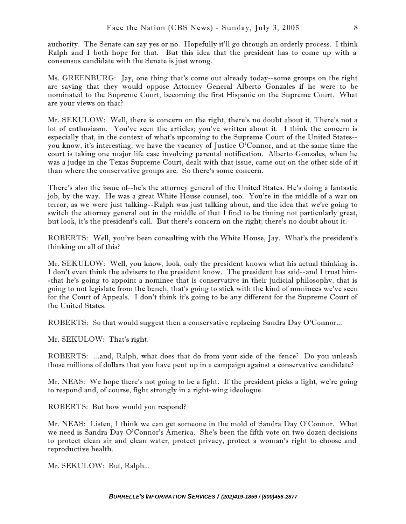authority. The Senate can say yes or no. Hopefully it'll go through an orderly process. I think Ralph and I both hope for that. But this idea that the president has to come up with a consensus candidate with the Senate is just wrong.

Ms. GREENBURG: Jay, one thing that's come out already today--some groups on the right are saying that they would oppose Attorney General Alberto Gonzales if he were to be nominated to the Supreme Court, becoming the first Hispanic on the Supreme Court. What are your views on that?

Mr. SEKULOW: Well, there is concern on the right, there's no doubt about it. There's not a lot of enthusiasm. You've seen the articles; you've written about it. I think the concern is especially that, in the context of what's upcoming to the Supreme Court of the United States- you know, it's interesting; we have the vacancy of Justice O'Connor, and at the same time the court is taking one major life case involving parental notification. Alberto Gonzales, when he was a judge in the Texas Supreme Court, dealt with that issue, came out on the other side of it than where the conservative groups are. So there's some concern.

There's also the issue of--he's the attorney general of the United States. He's doing a fantastic job, by the way. He was a great White House counsel, too. You're in the middle of a war on terror, as we were just talking--Ralph was just talking about, and the idea that we're going to switch the attorney general out in the middle of that I find to be timing not particularly great, but look, it's the president's call. But there's concern on the right; there's no doubt about it.

ROBERTS: Well, you've been consulting with the White House, Jay. What's the president's thinking on all of this?

Mr. SEKULOW: Well, you know, look, only the president knows what his actual thinking is. I don't even think the advisers to the president know. The president has said--and I trust him- -that he's going to appoint a nominee that is conservative in their judicial philosophy, that is going to not legislate from the bench, that's going to stick with the kind of nominees we've seen for the Court of Appeals. I don't think it's going to be any different for the Supreme Court of the United States.

ROBERTS: So that would suggest then a conservative replacing Sandra Day O'Connor...

Mr. SEKULOW: That's right.

ROBERTS: ...and, Ralph, what does that do from your side of the fence? Do you unleash those millions of dollars that you have pent up in a campaign against a conservative candidate?

Mr. NEAS: We hope there's not going to be a fight. If the president picks a fight, we're going to respond and, of course, fight strongly in a right-wing ideologue.

ROBERTS: But how would you respond?

Mr. NEAS: Listen, I think we can get someone in the mold of Sandra Day O'Connor. What we need is Sandra Day O'Connor's America. She's been the fifth vote on two dozen decisions to protect clean air and clean water, protect privacy, protect a woman's right to choose and reproductive health.

Mr. SEKULOW: But, Ralph...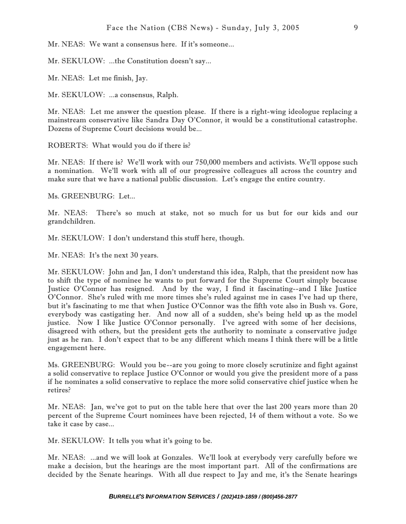Mr. NEAS: We want a consensus here. If it's someone...

Mr. SEKULOW: ...the Constitution doesn't say...

Mr. NEAS: Let me finish, Jay.

Mr. SEKULOW: ...a consensus, Ralph.

Mr. NEAS: Let me answer the question please. If there is a right-wing ideologue replacing a mainstream conservative like Sandra Day O'Connor, it would be a constitutional catastrophe. Dozens of Supreme Court decisions would be...

ROBERTS: What would you do if there is?

Mr. NEAS: If there is? We'll work with our 750,000 members and activists. We'll oppose such a nomination. We'll work with all of our progressive colleagues all across the country and make sure that we have a national public discussion. Let's engage the entire country.

Ms. GREENBURG: Let...

Mr. NEAS: There's so much at stake, not so much for us but for our kids and our grandchildren.

Mr. SEKULOW: I don't understand this stuff here, though.

Mr. NEAS: It's the next 30 years.

Mr. SEKULOW: John and Jan, I don't understand this idea, Ralph, that the president now has to shift the type of nominee he wants to put forward for the Supreme Court simply because Justice O'Connor has resigned. And by the way, I find it fascinating--and I like Justice O'Connor. She's ruled with me more times she's ruled against me in cases I've had up there, but it's fascinating to me that when Justice O'Connor was the fifth vote also in Bush vs. Gore, everybody was castigating her. And now all of a sudden, she's being held up as the model justice. Now I like Justice O'Connor personally. I've agreed with some of her decisions, disagreed with others, but the president gets the authority to nominate a conservative judge just as he ran. I don't expect that to be any different which means I think there will be a little engagement here.

Ms. GREENBURG: Would you be--are you going to more closely scrutinize and fight against a solid conservative to replace Justice O'Connor or would you give the president more of a pass if he nominates a solid conservative to replace the more solid conservative chief justice when he retires?

Mr. NEAS: Jan, we've got to put on the table here that over the last 200 years more than 20 percent of the Supreme Court nominees have been rejected, 14 of them without a vote. So we take it case by case...

Mr. SEKULOW: It tells you what it's going to be.

Mr. NEAS: ...and we will look at Gonzales. We'll look at everybody very carefully before we make a decision, but the hearings are the most important part. All of the confirmations are decided by the Senate hearings. With all due respect to Jay and me, it's the Senate hearings